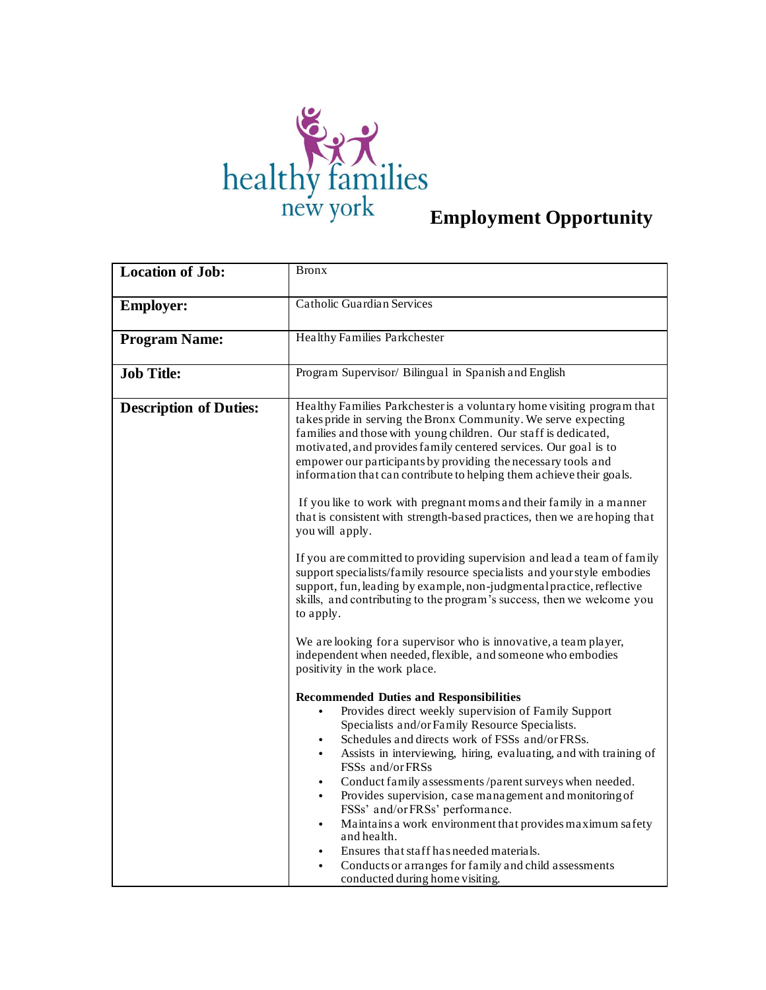

| <b>Location of Job:</b>       | <b>Bronx</b>                                                                                                                                                                                                                                                                                                                                                                                                                                                                                                                                                                                                                                                                                                                                                                                                                                                                                                                                                                                                                                                                                                                                                                                                                                                                                                                                                                                                                                                                                                                                                                                                                                                                                                                                                                                                                         |
|-------------------------------|--------------------------------------------------------------------------------------------------------------------------------------------------------------------------------------------------------------------------------------------------------------------------------------------------------------------------------------------------------------------------------------------------------------------------------------------------------------------------------------------------------------------------------------------------------------------------------------------------------------------------------------------------------------------------------------------------------------------------------------------------------------------------------------------------------------------------------------------------------------------------------------------------------------------------------------------------------------------------------------------------------------------------------------------------------------------------------------------------------------------------------------------------------------------------------------------------------------------------------------------------------------------------------------------------------------------------------------------------------------------------------------------------------------------------------------------------------------------------------------------------------------------------------------------------------------------------------------------------------------------------------------------------------------------------------------------------------------------------------------------------------------------------------------------------------------------------------------|
| <b>Employer:</b>              | <b>Catholic Guardian Services</b>                                                                                                                                                                                                                                                                                                                                                                                                                                                                                                                                                                                                                                                                                                                                                                                                                                                                                                                                                                                                                                                                                                                                                                                                                                                                                                                                                                                                                                                                                                                                                                                                                                                                                                                                                                                                    |
| <b>Program Name:</b>          | Healthy Families Parkchester                                                                                                                                                                                                                                                                                                                                                                                                                                                                                                                                                                                                                                                                                                                                                                                                                                                                                                                                                                                                                                                                                                                                                                                                                                                                                                                                                                                                                                                                                                                                                                                                                                                                                                                                                                                                         |
| <b>Job Title:</b>             | Program Supervisor/ Bilingual in Spanish and English                                                                                                                                                                                                                                                                                                                                                                                                                                                                                                                                                                                                                                                                                                                                                                                                                                                                                                                                                                                                                                                                                                                                                                                                                                                                                                                                                                                                                                                                                                                                                                                                                                                                                                                                                                                 |
| <b>Description of Duties:</b> | Healthy Families Parkchester is a voluntary home visiting program that<br>takes pride in serving the Bronx Community. We serve expecting<br>families and those with young children. Our staff is dedicated,<br>motivated, and provides family centered services. Our goal is to<br>empower our participants by providing the necessary tools and<br>information that can contribute to helping them achieve their goals.<br>If you like to work with pregnant moms and their family in a manner<br>that is consistent with strength-based practices, then we are hoping that<br>you will apply.<br>If you are committed to providing supervision and lead a team of family<br>support specialists/family resource specialists and your style embodies<br>support, fun, leading by example, non-judgmental practice, reflective<br>skills, and contributing to the program's success, then we welcome you<br>to apply.<br>We are looking for a supervisor who is innovative, a team player,<br>independent when needed, flexible, and someone who embodies<br>positivity in the work place.<br><b>Recommended Duties and Responsibilities</b><br>Provides direct weekly supervision of Family Support<br>$\bullet$<br>Specialists and/or Family Resource Specialists.<br>Schedules and directs work of FSSs and/or FRSs.<br>Assists in interviewing, hiring, evaluating, and with training of<br>FSSs and/or FRSs<br>Conduct family assessments /parent surveys when needed.<br>$\bullet$<br>Provides supervision, case management and monitoring of<br>FSSs' and/or FRSs' performance.<br>Maintains a work environment that provides maximum safety<br>$\bullet$<br>and health.<br>Ensures that staff has needed materials.<br>Conducts or arranges for family and child assessments<br>$\bullet$<br>conducted during home visiting. |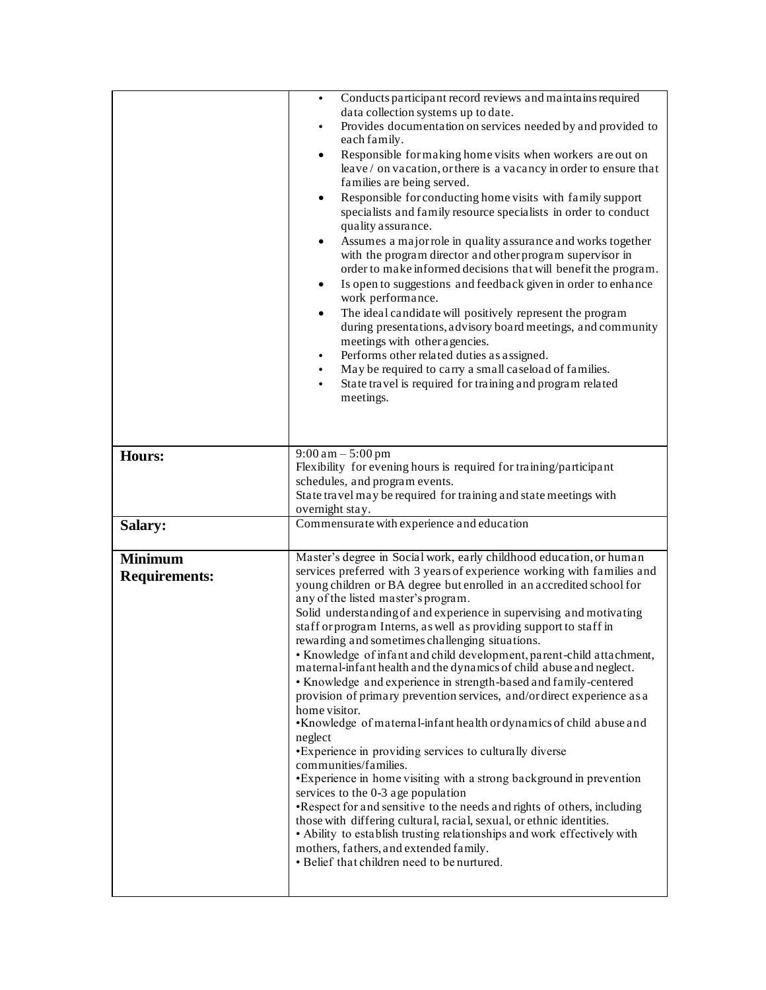|                      | Conducts participant record reviews and maintains required<br>$\bullet$<br>data collection systems up to date.<br>Provides documentation on services needed by and provided to<br>٠<br>each family.<br>Responsible for making home visits when workers are out on<br>$\bullet$<br>leave/on vacation, or there is a vacancy in order to ensure that<br>families are being served.<br>Responsible for conducting home visits with family support<br>$\bullet$<br>specialists and family resource specialists in order to conduct<br>quality assurance.<br>Assumes a major role in quality assurance and works together<br>٠<br>with the program director and other program supervisor in<br>order to make informed decisions that will benefit the program.<br>Is open to suggestions and feedback given in order to enhance<br>work performance.<br>The ideal candidate will positively represent the program<br>$\bullet$<br>during presentations, advisory board meetings, and community<br>meetings with other agencies.<br>Performs other related duties as assigned.<br>$\bullet$<br>May be required to carry a small caseload of families.<br>$\bullet$<br>State travel is required for training and program related<br>meetings.                                                                            |
|----------------------|-------------------------------------------------------------------------------------------------------------------------------------------------------------------------------------------------------------------------------------------------------------------------------------------------------------------------------------------------------------------------------------------------------------------------------------------------------------------------------------------------------------------------------------------------------------------------------------------------------------------------------------------------------------------------------------------------------------------------------------------------------------------------------------------------------------------------------------------------------------------------------------------------------------------------------------------------------------------------------------------------------------------------------------------------------------------------------------------------------------------------------------------------------------------------------------------------------------------------------------------------------------------------------------------------------------------|
| <b>Hours:</b>        | $9:00 \text{ am} - 5:00 \text{ pm}$<br>Flexibility for evening hours is required for training/participant                                                                                                                                                                                                                                                                                                                                                                                                                                                                                                                                                                                                                                                                                                                                                                                                                                                                                                                                                                                                                                                                                                                                                                                                         |
|                      | schedules, and program events.                                                                                                                                                                                                                                                                                                                                                                                                                                                                                                                                                                                                                                                                                                                                                                                                                                                                                                                                                                                                                                                                                                                                                                                                                                                                                    |
|                      | State travel may be required for training and state meetings with<br>overnight stay.                                                                                                                                                                                                                                                                                                                                                                                                                                                                                                                                                                                                                                                                                                                                                                                                                                                                                                                                                                                                                                                                                                                                                                                                                              |
| Salary:              | Commensurate with experience and education                                                                                                                                                                                                                                                                                                                                                                                                                                                                                                                                                                                                                                                                                                                                                                                                                                                                                                                                                                                                                                                                                                                                                                                                                                                                        |
| Minimum              | Master's degree in Social work, early childhood education, or human                                                                                                                                                                                                                                                                                                                                                                                                                                                                                                                                                                                                                                                                                                                                                                                                                                                                                                                                                                                                                                                                                                                                                                                                                                               |
| <b>Requirements:</b> | services preferred with 3 years of experience working with families and<br>young children or BA degree but enrolled in an accredited school for<br>any of the listed master's program.<br>Solid understanding of and experience in supervising and motivating<br>staff or program Interns, as well as providing support to staff in<br>rewarding and sometimes challenging situations.<br>• Knowledge of infant and child development, parent-child attachment,<br>maternal-infant health and the dynamics of child abuse and neglect.<br>• Knowledge and experience in strength-based and family-centered<br>provision of primary prevention services, and/or direct experience as a<br>home visitor.<br>•Knowledge of maternal-infant health or dynamics of child abuse and<br>neglect<br>• Experience in providing services to culturally diverse<br>communities/families.<br>•Experience in home visiting with a strong background in prevention<br>services to the 0-3 age population<br>•Respect for and sensitive to the needs and rights of others, including<br>those with differing cultural, racial, sexual, or ethnic identities.<br>• Ability to establish trusting relationships and work effectively with<br>mothers, fathers, and extended family.<br>• Belief that children need to be nurtured. |